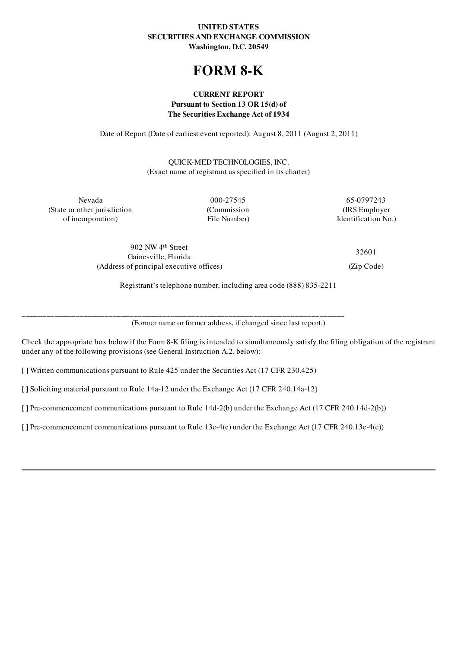## UNITED STATES SECURITIES AND EXCHANGE COMMISSION Washington, D.C. 20549

# FORM 8-K

# CURRENT REPORT Pursuant to Section 13 OR 15(d) of The Securities Exchange Act of 1934

Date of Report (Date of earliest event reported): August 8, 2011 (August 2, 2011)

QUICK-MED TECHNOLOGIES, INC. (Exact name of registrant as specified in its charter)

(State or other jurisdiction (Commission (IRS Employer of incorporation) File Number) File Number Identification No.)

Nevada 000-27545 65-0797243

902 NW 4<sup>th</sup> Street Gainesville, Florida (Address of principal executive offices) (Zip Code)

32601

Registrant's telephone number, including area code (888) 835-2211

(Former name or former address, if changed since last report.)

Check the appropriate box below if the Form 8-K filing is intended to simultaneously satisfy the filing obligation of the registrant under any of the following provisions (see General Instruction A.2. below):

[ ] Written communications pursuant to Rule 425 under the Securities Act (17 CFR 230.425)

\_\_\_\_\_\_\_\_\_\_\_\_\_\_\_\_\_\_\_\_\_\_\_\_\_\_\_\_\_\_\_\_\_\_\_\_\_\_\_\_\_\_\_\_\_\_\_\_\_\_\_\_\_\_\_\_\_\_\_\_\_\_\_\_\_\_\_\_\_\_\_\_\_\_\_\_\_\_

[ ] Soliciting material pursuant to Rule 14a-12 under the Exchange Act (17 CFR 240.14a-12)

[] Pre-commencement communications pursuant to Rule 14d-2(b) under the Exchange Act (17 CFR 240.14d-2(b))

[ ] Pre-commencement communications pursuant to Rule 13e-4(c) under the Exchange Act (17 CFR 240.13e-4(c))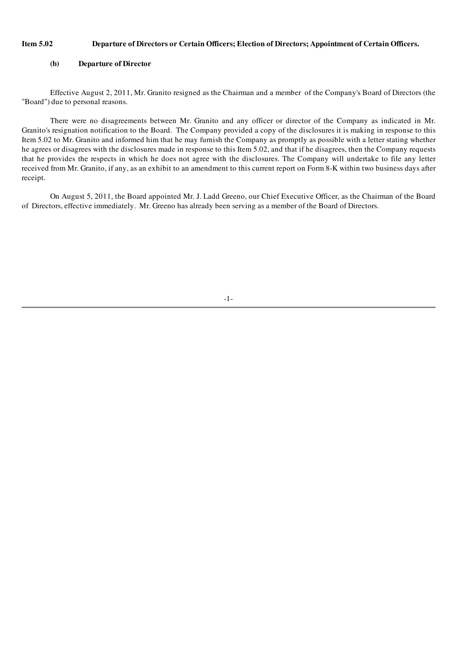#### Item 5.02 Departure of Directors or Certain Officers; Election of Directors; Appointment of Certain Officers.

## (b) Departure of Director

Effective August 2, 2011, Mr. Granito resigned as the Chairman and a member of the Company's Board of Directors (the "Board") due to personal reasons.

There were no disagreements between Mr. Granito and any officer or director of the Company as indicated in Mr. Granito's resignation notification to the Board. The Company provided a copy of the disclosures it is making in response to this Item 5.02 to Mr. Granito and informed him that he may furnish the Company as promptly as possible with a letter stating whether he agrees or disagrees with the disclosures made in response to this Item 5.02, and that if he disagrees, then the Company requests that he provides the respects in which he does not agree with the disclosures. The Company will undertake to file any letter received from Mr. Granito, if any, as an exhibit to an amendment to this current report on Form 8-K within two business days after receipt.

On August 5, 2011, the Board appointed Mr. J. Ladd Greeno, our Chief Executive Officer, as the Chairman of the Board of Directors, effective immediately. Mr. Greeno has already been serving as a member of the Board of Directors.

## -1-